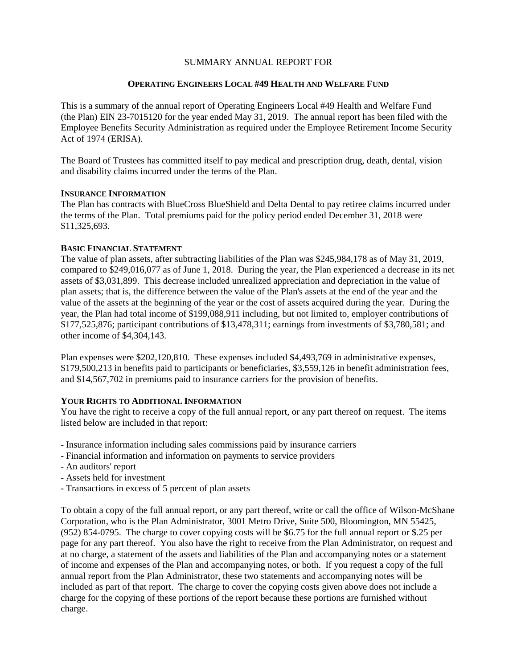# SUMMARY ANNUAL REPORT FOR

## **OPERATING ENGINEERS LOCAL #49 HEALTH AND WELFARE FUND**

This is a summary of the annual report of Operating Engineers Local #49 Health and Welfare Fund (the Plan) EIN 23-7015120 for the year ended May 31, 2019. The annual report has been filed with the Employee Benefits Security Administration as required under the Employee Retirement Income Security Act of 1974 (ERISA).

The Board of Trustees has committed itself to pay medical and prescription drug, death, dental, vision and disability claims incurred under the terms of the Plan.

### **INSURANCE INFORMATION**

The Plan has contracts with BlueCross BlueShield and Delta Dental to pay retiree claims incurred under the terms of the Plan. Total premiums paid for the policy period ended December 31, 2018 were \$11,325,693.

# **BASIC FINANCIAL STATEMENT**

The value of plan assets, after subtracting liabilities of the Plan was \$245,984,178 as of May 31, 2019, compared to \$249,016,077 as of June 1, 2018. During the year, the Plan experienced a decrease in its net assets of \$3,031,899. This decrease included unrealized appreciation and depreciation in the value of plan assets; that is, the difference between the value of the Plan's assets at the end of the year and the value of the assets at the beginning of the year or the cost of assets acquired during the year. During the year, the Plan had total income of \$199,088,911 including, but not limited to, employer contributions of \$177,525,876; participant contributions of \$13,478,311; earnings from investments of \$3,780,581; and other income of \$4,304,143.

Plan expenses were \$202,120,810. These expenses included \$4,493,769 in administrative expenses, \$179,500,213 in benefits paid to participants or beneficiaries, \$3,559,126 in benefit administration fees, and \$14,567,702 in premiums paid to insurance carriers for the provision of benefits.

# **YOUR RIGHTS TO ADDITIONAL INFORMATION**

You have the right to receive a copy of the full annual report, or any part thereof on request. The items listed below are included in that report:

- Insurance information including sales commissions paid by insurance carriers
- Financial information and information on payments to service providers
- An auditors' report
- Assets held for investment
- Transactions in excess of 5 percent of plan assets

To obtain a copy of the full annual report, or any part thereof, write or call the office of Wilson-McShane Corporation, who is the Plan Administrator, 3001 Metro Drive, Suite 500, Bloomington, MN 55425, (952) 854-0795. The charge to cover copying costs will be \$6.75 for the full annual report or \$.25 per page for any part thereof. You also have the right to receive from the Plan Administrator, on request and at no charge, a statement of the assets and liabilities of the Plan and accompanying notes or a statement of income and expenses of the Plan and accompanying notes, or both. If you request a copy of the full annual report from the Plan Administrator, these two statements and accompanying notes will be included as part of that report. The charge to cover the copying costs given above does not include a charge for the copying of these portions of the report because these portions are furnished without charge.